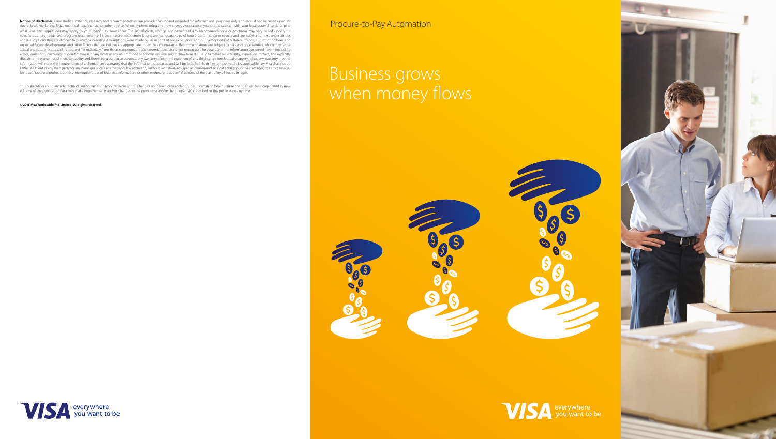Notice of disclaimer: Case studies, statistics, research and recommendations are provided "AS IS" and intended for informational purposes only and should not be relied upon for operational, marketing, legal, technical, tax, financial or other advice. When implementing any new strategy or practice, you should consult with your legal counsel to determine what laws and regulations may apply to your specific circumstances. The actual costs, savings and benefits of any recommendations or programs may vary based upon your specific business needs and program requirements. By their nature, recommendations are not guarantees of future performance or results and are subject to risks, uncertainties and assumptions that are difficult to predict or quantify. Assumptions were made by us in light of our experience and our perceptions of historical trends, current conditions and expected future developments and other factors that we believe are appropriate under the circumstance. Recommendations are subject to risks and uncertainties, which may cause actual and future results and trends to differ materially from the assumptions or recommendations. Visa is not responsible for your use of the information contained herein (including errors, omissions, inaccuracy or non-timeliness of any kind) or any assumptions or conclusions you might draw from its use. Visa makes no warranty, express or implied, and explicitly disclaims the warranties of merchantability and fitness for a particular purpose, any warranty of non-infringement of any third party's intellectual property rights, any warranty that the information will meet the requirements of a client, or any warranty that the information is updated and will be error free. To the extent permitted by applicable law, Visa shall not be liable to a client or any third party for any damages under any theory of law, including, without limitation, any special, consequential, incidental or punitive damages, nor any damages for loss of business profits, business interruption, loss of business information, or other monetary loss, even if advised of the possibility of such damages.

# Business grows when money flows









This publication could include technical inaccuracies or typographical errors. Changes are periodically added to the information herein. These changes will be incorporated in new editions of the publication. Visa may make improvements and/or changes in the product(s) and/or the programs(s) described in this publication any time.

#### **© 2015 Visa Worldwide Pte Limited. All rights reserved.**

Procure-to-Pay Automation